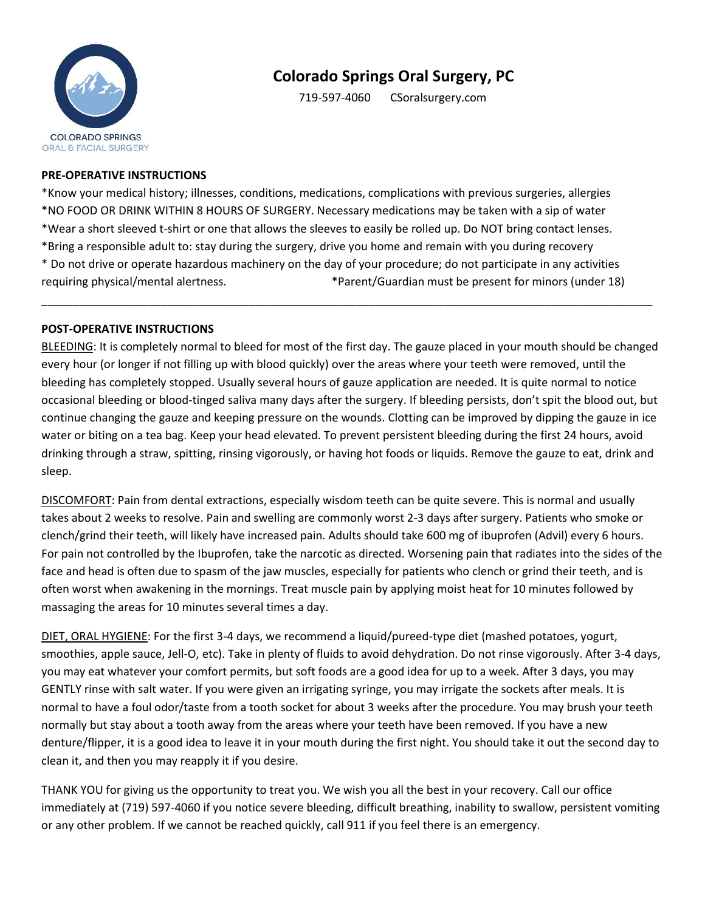

# **Colorado Springs Oral Surgery, PC**

719-597-4060 CSoralsurgery.com

#### **PRE-OPERATIVE INSTRUCTIONS**

\*Know your medical history; illnesses, conditions, medications, complications with previous surgeries, allergies \*NO FOOD OR DRINK WITHIN 8 HOURS OF SURGERY. Necessary medications may be taken with a sip of water \*Wear a short sleeved t-shirt or one that allows the sleeves to easily be rolled up. Do NOT bring contact lenses. \*Bring a responsible adult to: stay during the surgery, drive you home and remain with you during recovery \* Do not drive or operate hazardous machinery on the day of your procedure; do not participate in any activities requiring physical/mental alertness. \*Parent/Guardian must be present for minors (under 18)

\_\_\_\_\_\_\_\_\_\_\_\_\_\_\_\_\_\_\_\_\_\_\_\_\_\_\_\_\_\_\_\_\_\_\_\_\_\_\_\_\_\_\_\_\_\_\_\_\_\_\_\_\_\_\_\_\_\_\_\_\_\_\_\_\_\_\_\_\_\_\_\_\_\_\_\_\_\_\_\_\_\_\_\_\_\_\_\_\_\_\_\_\_\_\_\_\_

#### **POST-OPERATIVE INSTRUCTIONS**

BLEEDING: It is completely normal to bleed for most of the first day. The gauze placed in your mouth should be changed every hour (or longer if not filling up with blood quickly) over the areas where your teeth were removed, until the bleeding has completely stopped. Usually several hours of gauze application are needed. It is quite normal to notice occasional bleeding or blood-tinged saliva many days after the surgery. If bleeding persists, don't spit the blood out, but continue changing the gauze and keeping pressure on the wounds. Clotting can be improved by dipping the gauze in ice water or biting on a tea bag. Keep your head elevated. To prevent persistent bleeding during the first 24 hours, avoid drinking through a straw, spitting, rinsing vigorously, or having hot foods or liquids. Remove the gauze to eat, drink and sleep.

DISCOMFORT: Pain from dental extractions, especially wisdom teeth can be quite severe. This is normal and usually takes about 2 weeks to resolve. Pain and swelling are commonly worst 2-3 days after surgery. Patients who smoke or clench/grind their teeth, will likely have increased pain. Adults should take 600 mg of ibuprofen (Advil) every 6 hours. For pain not controlled by the Ibuprofen, take the narcotic as directed. Worsening pain that radiates into the sides of the face and head is often due to spasm of the jaw muscles, especially for patients who clench or grind their teeth, and is often worst when awakening in the mornings. Treat muscle pain by applying moist heat for 10 minutes followed by massaging the areas for 10 minutes several times a day.

DIET, ORAL HYGIENE: For the first 3-4 days, we recommend a liquid/pureed-type diet (mashed potatoes, yogurt, smoothies, apple sauce, Jell-O, etc). Take in plenty of fluids to avoid dehydration. Do not rinse vigorously. After 3-4 days, you may eat whatever your comfort permits, but soft foods are a good idea for up to a week. After 3 days, you may GENTLY rinse with salt water. If you were given an irrigating syringe, you may irrigate the sockets after meals. It is normal to have a foul odor/taste from a tooth socket for about 3 weeks after the procedure. You may brush your teeth normally but stay about a tooth away from the areas where your teeth have been removed. If you have a new denture/flipper, it is a good idea to leave it in your mouth during the first night. You should take it out the second day to clean it, and then you may reapply it if you desire.

THANK YOU for giving us the opportunity to treat you. We wish you all the best in your recovery. Call our office immediately at (719) 597-4060 if you notice severe bleeding, difficult breathing, inability to swallow, persistent vomiting or any other problem. If we cannot be reached quickly, call 911 if you feel there is an emergency.